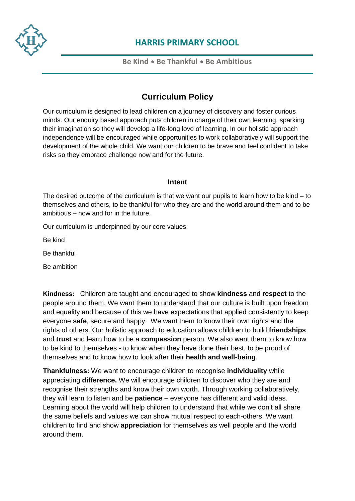

### **Be Kind** • **Be Thankful** • **Be Ambitious**

## **Curriculum Policy**

[Our](https://www.harris.lancs.sch.uk/contact-details/) curriculum is designed to lead children on a journey of discovery and foster curious minds. Our enquiry based approach puts children in charge of their own learning, sparking their imagination so they will develop a life-long love of learning. In our holistic approach independence will be encouraged while opportunities to work collaboratively will support the development of the whole child. We want our children to be brave and feel confident to take risks so they embrace challenge now and for the future.

#### **Intent**

The desired outcome of the curriculum is that we want our pupils to learn how to be kind – to themselves and others, to be thankful for who they are and the world around them and to be ambitious – now and for in the future.

Our curriculum is underpinned by our core values:

Be kind

Be thankful

Be ambition

**Kindness:** Children are taught and encouraged to show **kindness** and **respect** to the people around them. We want them to understand that our culture is built upon freedom and equality and because of this we have expectations that applied consistently to keep everyone **safe**, secure and happy. We want them to know their own rights and the rights of others. Our holistic approach to education allows children to build **friendships** and **trust** and learn how to be a **compassion** person. We also want them to know how to be kind to themselves - to know when they have done their best, to be proud of themselves and to know how to look after their **health and well-being**.

**Thankfulness:** We want to encourage children to recognise **individuality** while appreciating **difference.** We will encourage children to discover who they are and recognise their strengths and know their own worth. Through working collaboratively, they will learn to listen and be **patience** – everyone has different and valid ideas. Learning about the world will help children to understand that while we don't all share the same beliefs and values we can show mutual respect to each-others. We want children to find and show **appreciation** for themselves as well people and the world around them.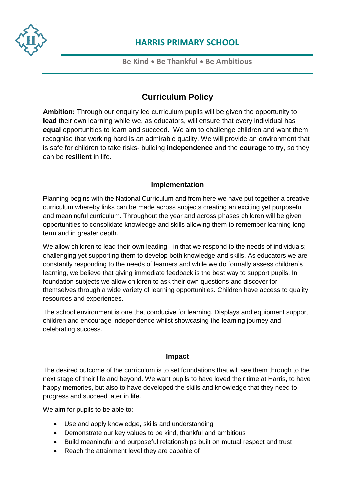

### **Be Kind** • **Be Thankful** • **Be Ambitious**

### **Curriculum Policy**

**[Am](https://www.harris.lancs.sch.uk/contact-details/)bition:** Through our enquiry led curriculum pupils will be given the opportunity to **lead** their own learning while we, as educators, will ensure that every individual has **equal** opportunities to learn and succeed. We aim to challenge children and want them recognise that working hard is an admirable quality. We will provide an environment that is safe for children to take risks- building **independence** and the **courage** to try, so they can be **resilient** in life.

### **Implementation**

Planning begins with the National Curriculum and from here we have put together a creative curriculum whereby links can be made across subjects creating an exciting yet purposeful and meaningful curriculum. Throughout the year and across phases children will be given opportunities to consolidate knowledge and skills allowing them to remember learning long term and in greater depth.

We allow children to lead their own leading - in that we respond to the needs of individuals; challenging yet supporting them to develop both knowledge and skills. As educators we are constantly responding to the needs of learners and while we do formally assess children's learning, we believe that giving immediate feedback is the best way to support pupils. In foundation subjects we allow children to ask their own questions and discover for themselves through a wide variety of learning opportunities. Children have access to quality resources and experiences.

The school environment is one that conducive for learning. Displays and equipment support children and encourage independence whilst showcasing the learning journey and celebrating success.

#### **Impact**

The desired outcome of the curriculum is to set foundations that will see them through to the next stage of their life and beyond. We want pupils to have loved their time at Harris, to have happy memories, but also to have developed the skills and knowledge that they need to progress and succeed later in life.

We aim for pupils to be able to:

- Use and apply knowledge, skills and understanding
- Demonstrate our key values to be kind, thankful and ambitious
- Build meaningful and purposeful relationships built on mutual respect and trust
- Reach the attainment level they are capable of